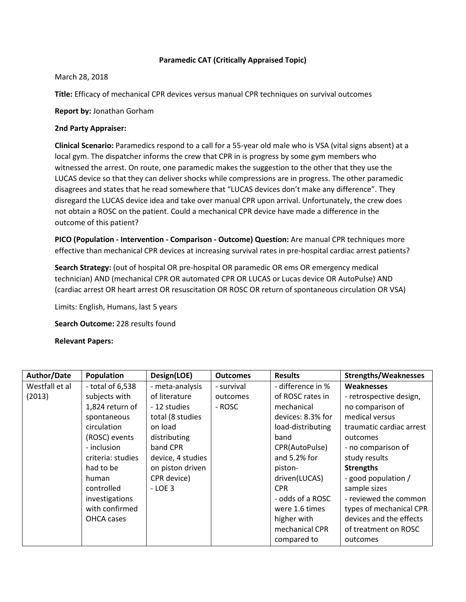# **Paramedic CAT (Critically Appraised Topic)**

## March 28, 2018

**Title:** Efficacy of mechanical CPR devices versus manual CPR techniques on survival outcomes

**Report by:** Jonathan Gorham

# **2nd Party Appraiser:**

**Clinical Scenario:** Paramedics respond to a call for a 55-year old male who is VSA (vital signs absent) at a local gym. The dispatcher informs the crew that CPR in is progress by some gym members who witnessed the arrest. On route, one paramedic makes the suggestion to the other that they use the LUCAS device so that they can deliver shocks while compressions are in progress. The other paramedic disagrees and states that he read somewhere that "LUCAS devices don't make any difference". They disregard the LUCAS device idea and take over manual CPR upon arrival. Unfortunately, the crew does not obtain a ROSC on the patient. Could a mechanical CPR device have made a difference in the outcome of this patient?

**PICO (Population - Intervention - Comparison - Outcome) Question:** Are manual CPR techniques more effective than mechanical CPR devices at increasing survival rates in pre-hospital cardiac arrest patients?

**Search Strategy:** (out of hospital OR pre-hospital OR paramedic OR ems OR emergency medical technician) AND (mechanical CPR OR automated CPR OR LUCAS or Lucas device OR AutoPulse) AND (cardiac arrest OR heart arrest OR resuscitation OR ROSC OR return of spontaneous circulation OR VSA)

Limits: English, Humans, last 5 years

**Search Outcome:** 228 results found

**Relevant Papers:** 

| Author/Date    | Population         | Design(LOE)       | <b>Outcomes</b> | <b>Results</b>    | <b>Strengths/Weaknesses</b> |
|----------------|--------------------|-------------------|-----------------|-------------------|-----------------------------|
| Westfall et al | $-$ total of 6,538 | - meta-analysis   | - survival      | - difference in % | <b>Weaknesses</b>           |
| (2013)         | subjects with      | of literature     | outcomes        | of ROSC rates in  | - retrospective design,     |
|                | 1,824 return of    | - 12 studies      | - ROSC          | mechanical        | no comparison of            |
|                | spontaneous        | total (8 studies  |                 | devices: 8.3% for | medical versus              |
|                | circulation        | on load           |                 | load-distributing | traumatic cardiac arrest    |
|                | (ROSC) events      | distributing      |                 | band              | outcomes                    |
|                | - inclusion        | band CPR          |                 | CPR(AutoPulse)    | - no comparison of          |
|                | criteria: studies  | device, 4 studies |                 | and $5.2%$ for    | study results               |
|                | had to be          | on piston driven  |                 | piston-           | <b>Strengths</b>            |
|                | human              | CPR device)       |                 | driven(LUCAS)     | - good population /         |
|                | controlled         | $-LOE3$           |                 | <b>CPR</b>        | sample sizes                |
|                | investigations     |                   |                 | - odds of a ROSC  | - reviewed the common       |
|                | with confirmed     |                   |                 | were 1.6 times    | types of mechanical CPR     |
|                | OHCA cases         |                   |                 | higher with       | devices and the effects     |
|                |                    |                   |                 | mechanical CPR    | of treatment on ROSC        |
|                |                    |                   |                 | compared to       | outcomes                    |
|                |                    |                   |                 |                   |                             |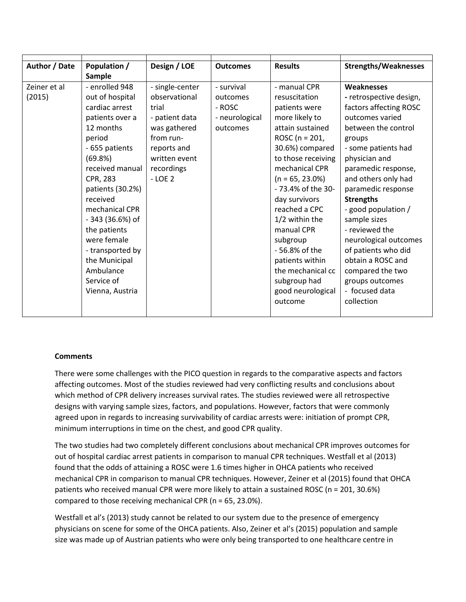| Author / Date | Population /     | Design / LOE    | <b>Outcomes</b> | <b>Results</b>     | <b>Strengths/Weaknesses</b> |
|---------------|------------------|-----------------|-----------------|--------------------|-----------------------------|
|               | Sample           |                 |                 |                    |                             |
| Zeiner et al  | - enrolled 948   | - single-center | - survival      | - manual CPR       | Weaknesses                  |
| (2015)        | out of hospital  | observational   | outcomes        | resuscitation      | - retrospective design,     |
|               | cardiac arrest   | trial           | - ROSC          | patients were      | factors affecting ROSC      |
|               | patients over a  | - patient data  | - neurological  | more likely to     | outcomes varied             |
|               | 12 months        | was gathered    | outcomes        | attain sustained   | between the control         |
|               | period           | from run-       |                 | ROSC ( $n = 201$ ) | groups                      |
|               | - 655 patients   | reports and     |                 | 30.6%) compared    | - some patients had         |
|               | (69.8%)          | written event   |                 | to those receiving | physician and               |
|               | received manual  | recordings      |                 | mechanical CPR     | paramedic response,         |
|               | CPR, 283         | $-$ LOE 2       |                 | $(n = 65, 23.0\%)$ | and others only had         |
|               | patients (30.2%) |                 |                 | - 73.4% of the 30- | paramedic response          |
|               | received         |                 |                 | day survivors      | <b>Strengths</b>            |
|               | mechanical CPR   |                 |                 | reached a CPC      | - good population /         |
|               | - 343 (36.6%) of |                 |                 | $1/2$ within the   | sample sizes                |
|               | the patients     |                 |                 | manual CPR         | - reviewed the              |
|               | were female      |                 |                 | subgroup           | neurological outcomes       |
|               | - transported by |                 |                 | - 56.8% of the     | of patients who did         |
|               | the Municipal    |                 |                 | patients within    | obtain a ROSC and           |
|               | Ambulance        |                 |                 | the mechanical cc  | compared the two            |
|               | Service of       |                 |                 | subgroup had       | groups outcomes             |
|               | Vienna, Austria  |                 |                 | good neurological  | - focused data              |
|               |                  |                 |                 | outcome            | collection                  |
|               |                  |                 |                 |                    |                             |

## **Comments**

There were some challenges with the PICO question in regards to the comparative aspects and factors affecting outcomes. Most of the studies reviewed had very conflicting results and conclusions about which method of CPR delivery increases survival rates. The studies reviewed were all retrospective designs with varying sample sizes, factors, and populations. However, factors that were commonly agreed upon in regards to increasing survivability of cardiac arrests were: initiation of prompt CPR, minimum interruptions in time on the chest, and good CPR quality.

The two studies had two completely different conclusions about mechanical CPR improves outcomes for out of hospital cardiac arrest patients in comparison to manual CPR techniques. Westfall et al (2013) found that the odds of attaining a ROSC were 1.6 times higher in OHCA patients who received mechanical CPR in comparison to manual CPR techniques. However, Zeiner et al (2015) found that OHCA patients who received manual CPR were more likely to attain a sustained ROSC (n = 201, 30.6%) compared to those receiving mechanical CPR (n = 65, 23.0%).

Westfall et al's (2013) study cannot be related to our system due to the presence of emergency physicians on scene for some of the OHCA patients. Also, Zeiner et al's (2015) population and sample size was made up of Austrian patients who were only being transported to one healthcare centre in